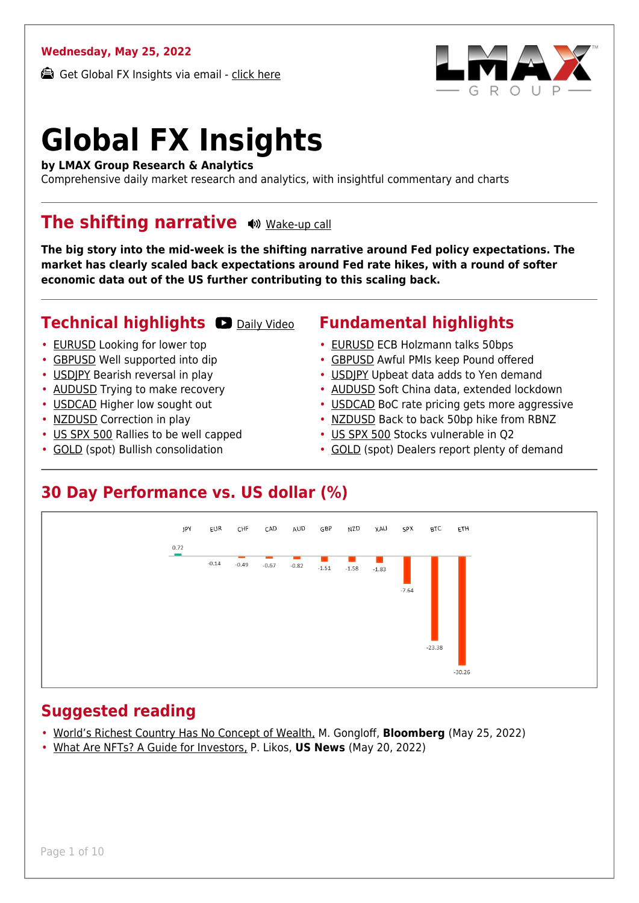#### **Wednesday, May 25, 2022**

Get Global FX Insights via email - [click here](https://www.lmax.com/blog/global-fx-insights/sign-up/?src=gfxipdf)



# **Global FX Insights**

**by LMAX Group Research & Analytics**

Comprehensive daily market research and analytics, with insightful commentary and charts

#### **The shifting narrative**  $\omega$  **[Wake-up call](https://www.lmax.com/blog/global-fx-insights/2022/05/25/the-shifting-narrative/?utm_source=GlobalFXInsights-Newsletter&utm_medium=Email&utm_campaign=GlobalFXInsights&audio=play#wakeup-53662)**

**The big story into the mid-week is the shifting narrative around Fed policy expectations. The market has clearly scaled back expectations around Fed rate hikes, with a round of softer economic data out of the US further contributing to this scaling back.**

#### **Technical highlights @ [Daily Video](https://www.lmax.com/blog/global-fx-insights/2022/05/25/the-shifting-narrative/?utm_source=GlobalFXInsights-Newsletter&utm_medium=Email&utm_campaign=GlobalFXInsights&popup=watch#charttalk-53662)**

- [EURUSD](#page-1-0) Looking for lower top
- [GBPUSD](#page-2-0) Well supported into dip
- [USDJPY](#page-3-0) Bearish reversal in play
- [AUDUSD](#page-4-0) Trying to make recovery
- [USDCAD](#page-5-0) Higher low sought out
- [NZDUSD](#page-6-0) Correction in play
- [US SPX 500](#page-7-0) Rallies to be well capped
- [GOLD](#page-8-0) (spot) Bullish consolidation

#### **Fundamental highlights**

- [EURUSD](#page-1-1) ECB Holzmann talks 50bps
- [GBPUSD](#page-2-1) Awful PMIs keep Pound offered
- [USDJPY](#page-3-1) Upbeat data adds to Yen demand
- [AUDUSD](#page-4-1) Soft China data, extended lockdown
- [USDCAD](#page-5-1) BoC rate pricing gets more aggressive
- [NZDUSD](#page-6-1) Back to back 50bp hike from RBNZ
- [US SPX 500](#page-7-1) Stocks vulnerable in Q2
- [GOLD](#page-8-1) (spot) Dealers report plenty of demand

#### **30 Day Performance vs. US dollar (%)**



#### **Suggested reading**

- [World's Richest Country Has No Concept of Wealth,](https://www.lmax.com/blog/global-fx-insights/2022/05/25/the-shifting-narrative/?read=https://www.bloomberg.com/opinion/articles/2022-05-24/personal-finance-how-much-do-you-need-to-retire-or-be-wealthy?srnd=opinion-markets) M. Gongloff, **Bloomberg** (May 25, 2022)
- [What Are NFTs? A Guide for Investors,](https://www.lmax.com/blog/global-fx-insights/2022/05/25/the-shifting-narrative/?read=https://money.usnews.com/investing/cryptocurrency/articles/what-are-nfts-a-guide-for-investors) P. Likos, **US News** (May 20, 2022)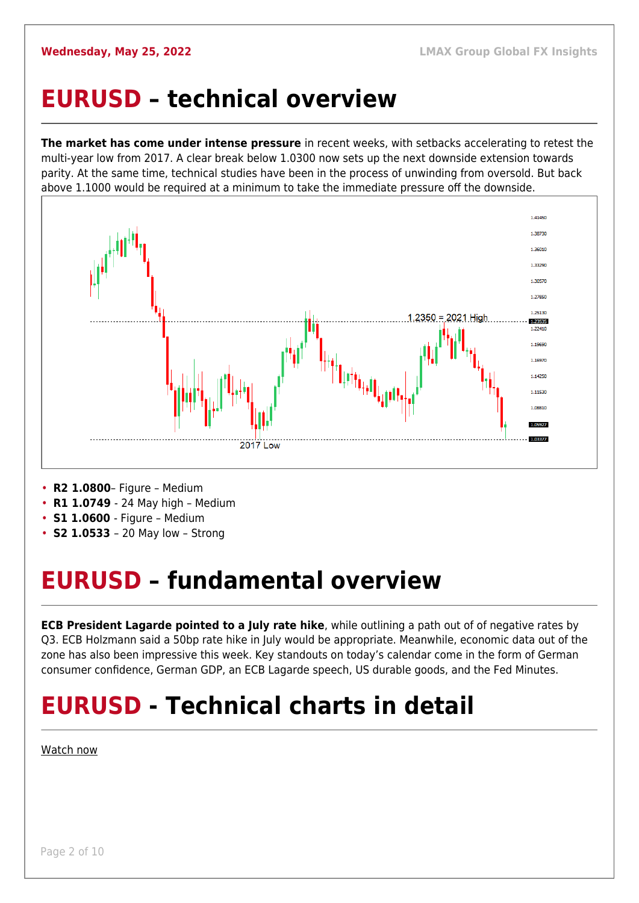#### <span id="page-1-0"></span>**EURUSD – technical overview**

**The market has come under intense pressure** in recent weeks, with setbacks accelerating to retest the multi-year low from 2017. A clear break below 1.0300 now sets up the next downside extension towards parity. At the same time, technical studies have been in the process of unwinding from oversold. But back above 1.1000 would be required at a minimum to take the immediate pressure off the downside.



- **R2 1.0800** Figure Medium
- **R1 1.0749**  24 May high Medium
- **S1 1.0600**  Figure Medium
- **S2 1.0533**  20 May low Strong

## <span id="page-1-1"></span>**EURUSD – fundamental overview**

**ECB President Lagarde pointed to a July rate hike**, while outlining a path out of of negative rates by Q3. ECB Holzmann said a 50bp rate hike in July would be appropriate. Meanwhile, economic data out of the zone has also been impressive this week. Key standouts on today's calendar come in the form of German consumer confidence, German GDP, an ECB Lagarde speech, US durable goods, and the Fed Minutes.

## **EURUSD - Technical charts in detail**

[Watch now](https://youtu.be/KIAuQ9hDSNU)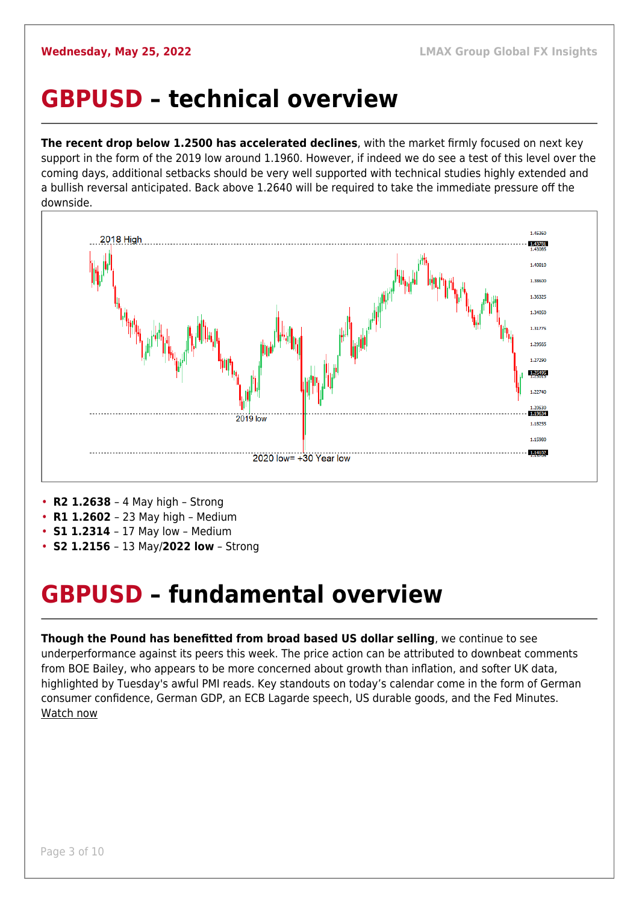#### <span id="page-2-0"></span>**GBPUSD – technical overview**

**The recent drop below 1.2500 has accelerated declines**, with the market firmly focused on next key support in the form of the 2019 low around 1.1960. However, if indeed we do see a test of this level over the coming days, additional setbacks should be very well supported with technical studies highly extended and a bullish reversal anticipated. Back above 1.2640 will be required to take the immediate pressure off the downside.



- **R2 1.2638**  4 May high Strong
- **R1 1.2602**  23 May high Medium
- **S1 1.2314**  17 May low Medium
- **S2 1.2156**  13 May/**2022 low** Strong

#### <span id="page-2-1"></span>**GBPUSD – fundamental overview**

**Though the Pound has benefitted from broad based US dollar selling**, we continue to see underperformance against its peers this week. The price action can be attributed to downbeat comments from BOE Bailey, who appears to be more concerned about growth than inflation, and softer UK data, highlighted by Tuesday's awful PMI reads. Key standouts on today's calendar come in the form of German consumer confidence, German GDP, an ECB Lagarde speech, US durable goods, and the Fed Minutes. [Watch now](https://youtu.be/Lpkiv0nd_5E)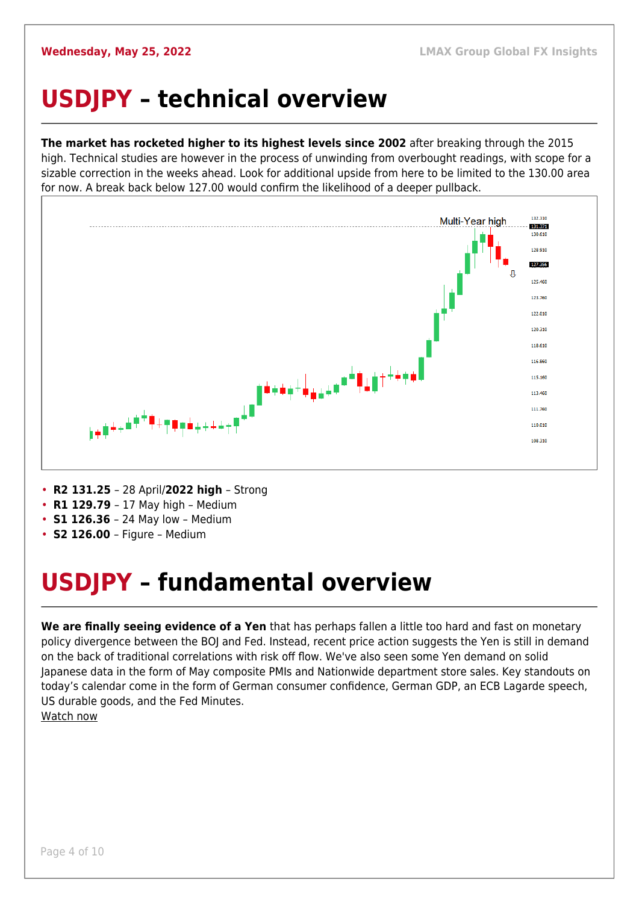## <span id="page-3-0"></span>**USDJPY – technical overview**

**The market has rocketed higher to its highest levels since 2002** after breaking through the 2015 high. Technical studies are however in the process of unwinding from overbought readings, with scope for a sizable correction in the weeks ahead. Look for additional upside from here to be limited to the 130.00 area for now. A break back below 127.00 would confirm the likelihood of a deeper pullback.



- **R2 131.25**  28 April/**2022 high**  Strong
- **R1 129.79**  17 May high Medium
- **S1 126.36**  24 May low Medium
- **S2 126.00**  Figure Medium

## <span id="page-3-1"></span>**USDJPY – fundamental overview**

**We are finally seeing evidence of a Yen** that has perhaps fallen a little too hard and fast on monetary policy divergence between the BOJ and Fed. Instead, recent price action suggests the Yen is still in demand on the back of traditional correlations with risk off flow. We've also seen some Yen demand on solid Japanese data in the form of May composite PMIs and Nationwide department store sales. Key standouts on today's calendar come in the form of German consumer confidence, German GDP, an ECB Lagarde speech, US durable goods, and the Fed Minutes. [Watch now](https://youtu.be/7RmvBqNOdgc)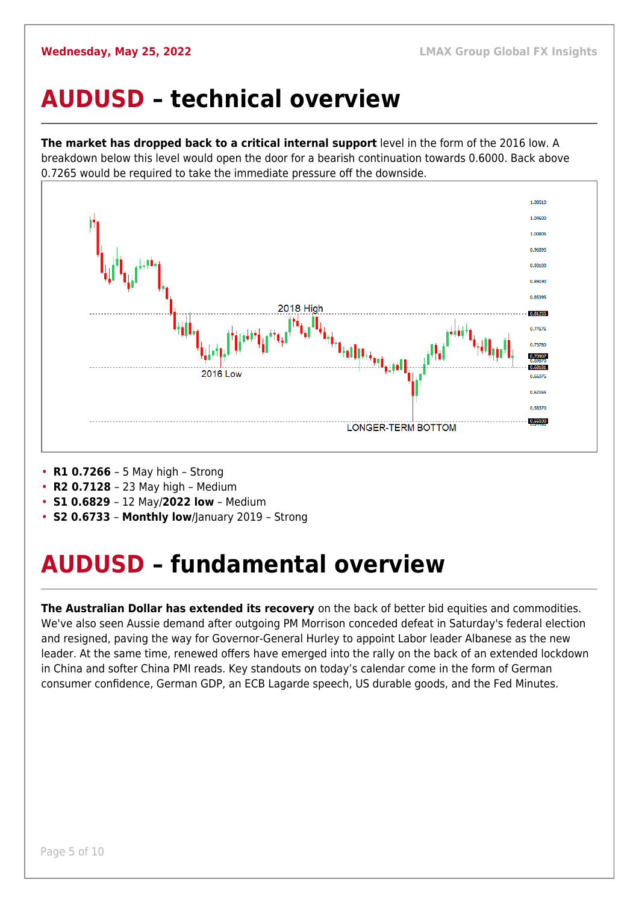#### <span id="page-4-0"></span>**AUDUSD – technical overview**

**The market has dropped back to a critical internal support** level in the form of the 2016 low. A breakdown below this level would open the door for a bearish continuation towards 0.6000. Back above 0.7265 would be required to take the immediate pressure off the downside.



- **R1 0.7266**  5 May high Strong
- **R2 0.7128**  23 May high Medium
- **S1 0.6829**  12 May/**2022 low** Medium
- **S2 0.6733 Monthly low**/January 2019 Strong

## <span id="page-4-1"></span>**AUDUSD – fundamental overview**

**The Australian Dollar has extended its recovery** on the back of better bid equities and commodities. We've also seen Aussie demand after outgoing PM Morrison conceded defeat in Saturday's federal election and resigned, paving the way for Governor-General Hurley to appoint Labor leader Albanese as the new leader. At the same time, renewed offers have emerged into the rally on the back of an extended lockdown in China and softer China PMI reads. Key standouts on today's calendar come in the form of German consumer confidence, German GDP, an ECB Lagarde speech, US durable goods, and the Fed Minutes.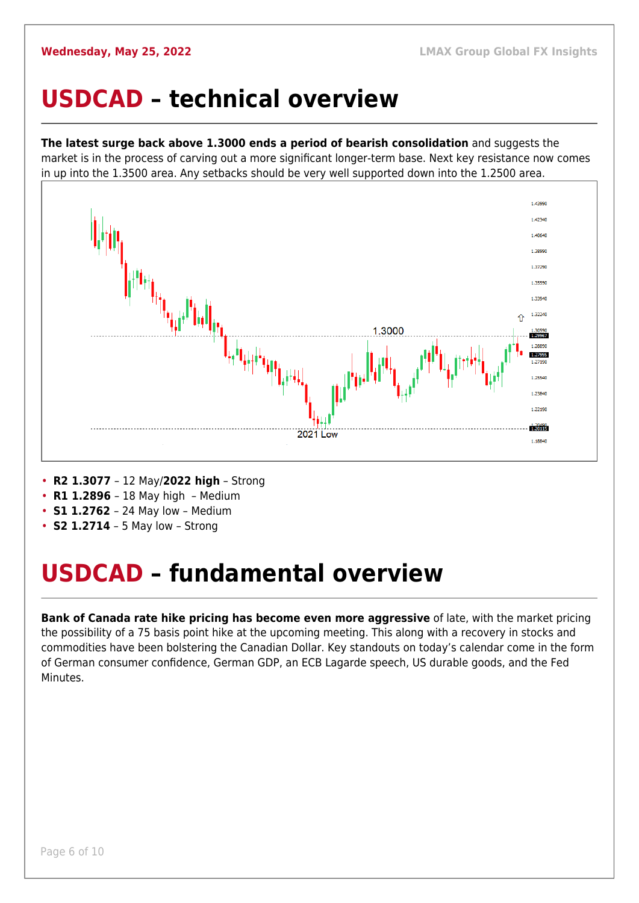#### <span id="page-5-0"></span>**USDCAD – technical overview**

**The latest surge back above 1.3000 ends a period of bearish consolidation** and suggests the market is in the process of carving out a more significant longer-term base. Next key resistance now comes in up into the 1.3500 area. Any setbacks should be very well supported down into the 1.2500 area.



- **R2 1.3077**  12 May/**2022 high** Strong
- **R1 1.2896**  18 May high Medium
- **S1 1.2762**  24 May low Medium
- **S2 1.2714** 5 May low Strong

#### <span id="page-5-1"></span>**USDCAD – fundamental overview**

**Bank of Canada rate hike pricing has become even more aggressive** of late, with the market pricing the possibility of a 75 basis point hike at the upcoming meeting. This along with a recovery in stocks and commodities have been bolstering the Canadian Dollar. Key standouts on today's calendar come in the form of German consumer confidence, German GDP, an ECB Lagarde speech, US durable goods, and the Fed Minutes.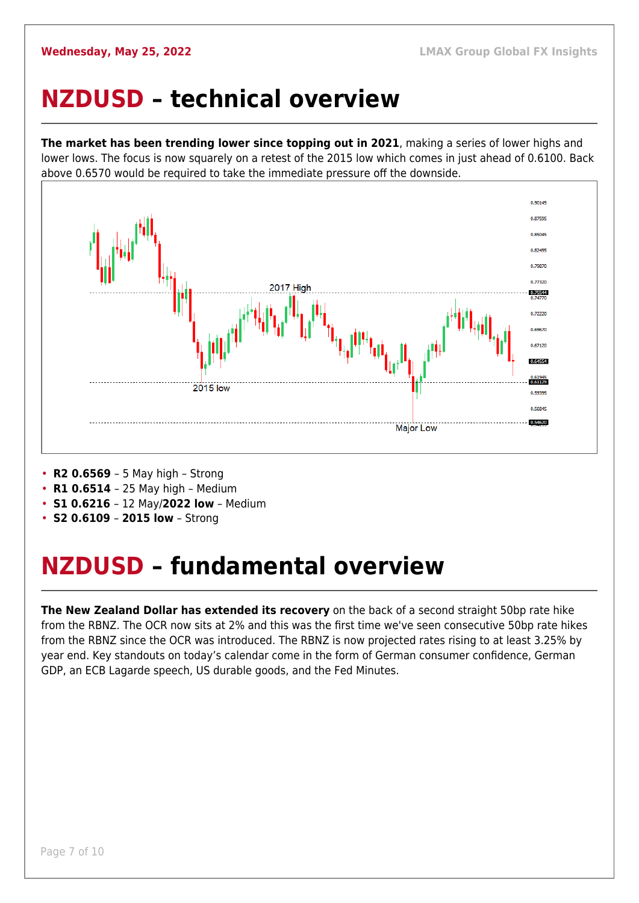#### <span id="page-6-0"></span>**NZDUSD – technical overview**

**The market has been trending lower since topping out in 2021**, making a series of lower highs and lower lows. The focus is now squarely on a retest of the 2015 low which comes in just ahead of 0.6100. Back above 0.6570 would be required to take the immediate pressure off the downside.



- **R2 0.6569**  5 May high Strong
- **R1 0.6514**  25 May high Medium
- **S1 0.6216**  12 May/**2022 low** Medium
- **S2 0.6109 2015 low** Strong

## <span id="page-6-1"></span>**NZDUSD – fundamental overview**

**The New Zealand Dollar has extended its recovery** on the back of a second straight 50bp rate hike from the RBNZ. The OCR now sits at 2% and this was the first time we've seen consecutive 50bp rate hikes from the RBNZ since the OCR was introduced. The RBNZ is now projected rates rising to at least 3.25% by year end. Key standouts on today's calendar come in the form of German consumer confidence, German GDP, an ECB Lagarde speech, US durable goods, and the Fed Minutes.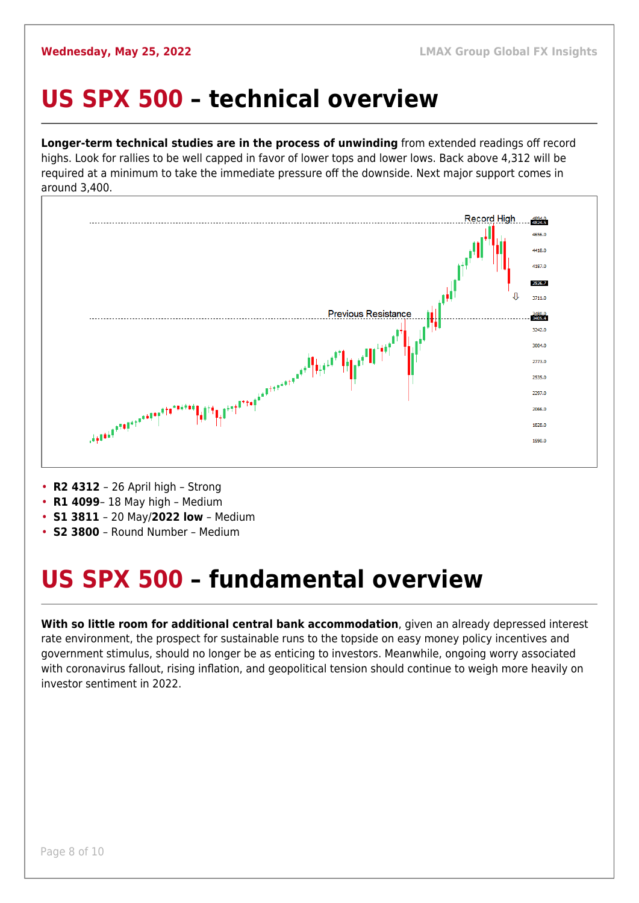#### <span id="page-7-0"></span>**US SPX 500 – technical overview**

**Longer-term technical studies are in the process of unwinding** from extended readings off record highs. Look for rallies to be well capped in favor of lower tops and lower lows. Back above 4,312 will be required at a minimum to take the immediate pressure off the downside. Next major support comes in around 3,400.



• **R2 4312** – 26 April high – Strong

- **R1 4099** 18 May high Medium
- **S1 3811**  20 May/**2022 low** Medium
- **S2 3800**  Round Number Medium

## <span id="page-7-1"></span>**US SPX 500 – fundamental overview**

**With so little room for additional central bank accommodation**, given an already depressed interest rate environment, the prospect for sustainable runs to the topside on easy money policy incentives and government stimulus, should no longer be as enticing to investors. Meanwhile, ongoing worry associated with coronavirus fallout, rising inflation, and geopolitical tension should continue to weigh more heavily on investor sentiment in 2022.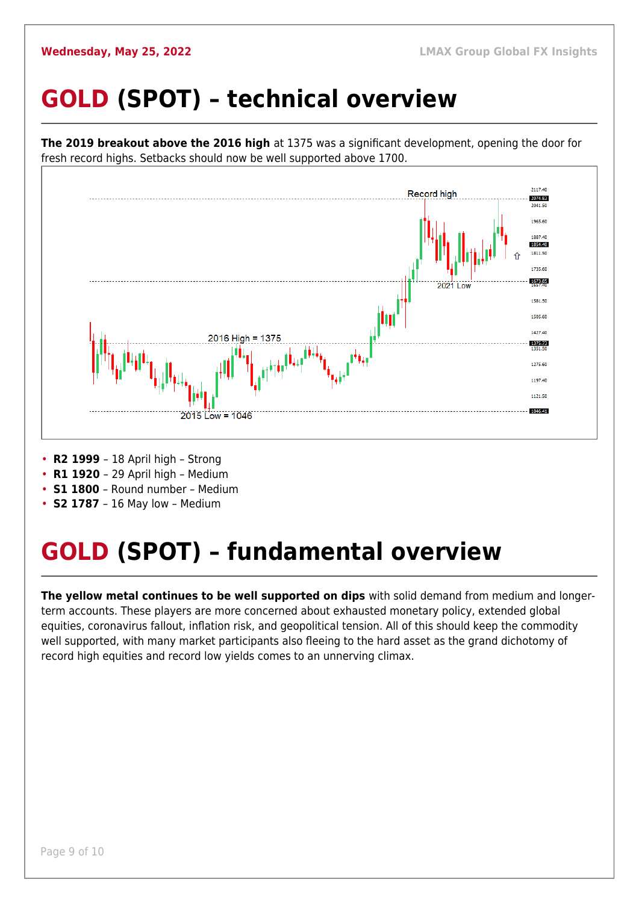## <span id="page-8-0"></span>**GOLD (SPOT) – technical overview**



• **R2 1999** – 18 April high – Strong

• **R1 1920** – 29 April high – Medium

• **S1 1800** – Round number – Medium

• **S2 1787** – 16 May low – Medium

## <span id="page-8-1"></span>**GOLD (SPOT) – fundamental overview**

**The yellow metal continues to be well supported on dips** with solid demand from medium and longerterm accounts. These players are more concerned about exhausted monetary policy, extended global equities, coronavirus fallout, inflation risk, and geopolitical tension. All of this should keep the commodity well supported, with many market participants also fleeing to the hard asset as the grand dichotomy of record high equities and record low yields comes to an unnerving climax.